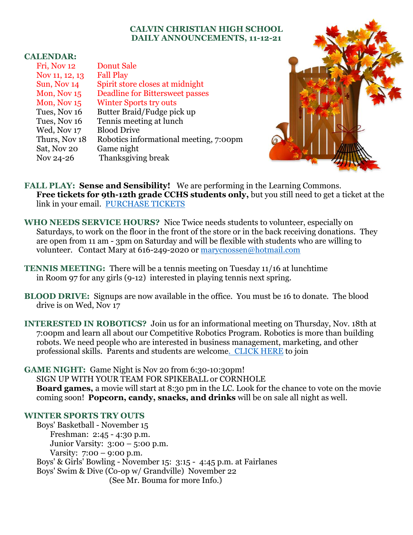## **CALVIN CHRISTIAN HIGH SCHOOL DAILY ANNOUNCEMENTS, 11-12-21**

## **CALENDAR:**

| <b>Donut Sale</b>                      |
|----------------------------------------|
| <b>Fall Play</b>                       |
| Spirit store closes at midnight        |
| <b>Deadline for Bittersweet passes</b> |
| <b>Winter Sports try outs</b>          |
| Butter Braid/Fudge pick up             |
| Tennis meeting at lunch                |
| <b>Blood Drive</b>                     |
| Robotics informational meeting, 7:00pm |
| Game night                             |
| Thanksgiving break                     |
|                                        |



FALL PLAY: Sense and Sensibility! We are performing in the Learning Commons. **Free tickets for 9th-12th grade CCHS students only,** but you still need to get a ticket at the link in your email. [PURCHASE TICKETS](https://www.eventbrite.com/e/calvin-christian-presents-sense-and-sensibility-tickets-193795215707)

**WHO NEEDS SERVICE HOURS?** Nice Twice needs students to volunteer, especially on Saturdays, to work on the floor in the front of the store or in the back receiving donations. They are open from 11 am - 3pm on Saturday and will be flexible with students who are willing to volunteer. Contact Mary at 616-249-2020 or [marycnossen@hotmail.com](mailto:marycnossen@hotmail.com)

- **TENNIS MEETING:** There will be a tennis meeting on Tuesday 11/16 at lunchtime in Room 97 for any girls (9-12) interested in playing tennis next spring.
- **BLOOD DRIVE:** Signups are now available in the office. You must be 16 to donate. The blood drive is on Wed, Nov 17

**INTERESTED IN ROBOTICS?** Join us for an informational meeting on Thursday, Nov. 18th at 7:00pm and learn all about our Competitive Robotics Program. Robotics is more than building robots. We need people who are interested in business management, marketing, and other professional skills.Parents and students are welcom[e. CLICK HERE](https://www.gosquires.org/robotics/) to join

**GAME NIGHT:** Game Night is Nov 20 from 6:30-10:30pm!

SIGN UP WITH YOUR TEAM FOR SPIKEBALL or CORNHOLE **Board games,** a movie will start at 8:30 pm in the LC. Look for the chance to vote on the movie coming soon! **Popcorn, candy, snacks, and drinks** will be on sale all night as well.

## **WINTER SPORTS TRY OUTS**

Boys' Basketball - November 15 Freshman: 2:45 - 4:30 p.m. Junior Varsity: 3:00 – 5:00 p.m. Varsity: 7:00 – 9:00 p.m. Boys' & Girls' Bowling - November 15: 3:15 - 4:45 p.m. at Fairlanes Boys' Swim & Dive (Co-op w/ Grandville) November 22 (See Mr. Bouma for more Info.)